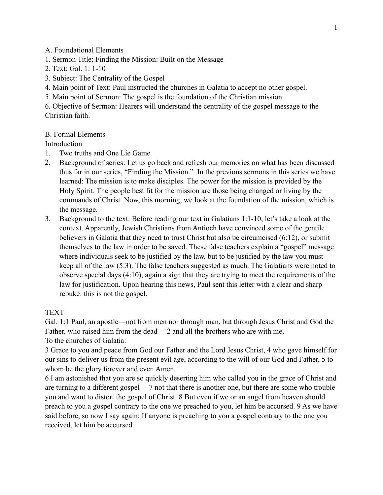A. Foundational Elements

- 1. Sermon Title: Finding the Mission: Built on the Message
- 2. Text: Gal. 1: 1-10
- 3. Subject: The Centrality of the Gospel
- 4. Main point of Text: Paul instructed the churches in Galatia to accept no other gospel.
- 5. Main point of Sermon: The gospel is the foundation of the Christian mission.

6. Objective of Sermon: Hearers will understand the centrality of the gospel message to the Christian faith.

## B. Formal Elements

**Introduction** 

- 1. Two truths and One Lie Game
- 2. Background of series: Let us go back and refresh our memories on what has been discussed thus far in our series, "Finding the Mission." In the previous sermons in this series we have learned: The mission is to make disciples. The power for the mission is provided by the Holy Spirit. The people best fit for the mission are those being changed or living by the commands of Christ. Now, this morning, we look at the foundation of the mission, which is the message.
- 3. Background to the text: Before reading our text in Galatians 1:1-10, let's take a look at the context. Apparently, Jewish Christians from Antioch have convinced some of the gentile believers in Galatia that they need to trust Christ but also be circumcised (6:12), or submit themselves to the law in order to be saved. These false teachers explain a "gospel" message where individuals seek to be justified by the law, but to be justified by the law you must keep all of the law (5:3). The false teachers suggested as much. The Galatians were noted to observe special days (4:10), again a sign that they are trying to meet the requirements of the law for justification. Upon hearing this news, Paul sent this letter with a clear and sharp rebuke: this is not the gospel.

## TEXT

Gal. 1:1 Paul, an apostle—not from men nor through man, but through Jesus Christ and God the Father, who raised him from the dead— 2 and all the brothers who are with me, To the churches of Galatia:

3 Grace to you and peace from God our Father and the Lord Jesus Christ, 4 who gave himself for our sins to deliver us from the present evil age, according to the will of our God and Father, 5 to whom be the glory forever and ever. Amen.

6 I am astonished that you are so quickly deserting him who called you in the grace of Christ and are turning to a different gospel— 7 not that there is another one, but there are some who trouble you and want to distort the gospel of Christ. 8 But even if we or an angel from heaven should preach to you a gospel contrary to the one we preached to you, let him be accursed. 9 As we have said before, so now I say again: If anyone is preaching to you a gospel contrary to the one you received, let him be accursed.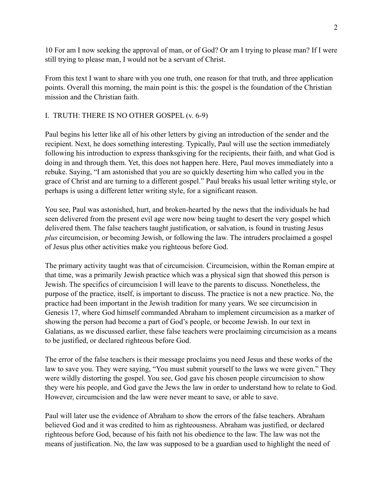10 For am I now seeking the approval of man, or of God? Or am I trying to please man? If I were still trying to please man, I would not be a servant of Christ.

From this text I want to share with you one truth, one reason for that truth, and three application points. Overall this morning, the main point is this: the gospel is the foundation of the Christian mission and the Christian faith.

# I. TRUTH: THERE IS NO OTHER GOSPEL (v. 6-9)

Paul begins his letter like all of his other letters by giving an introduction of the sender and the recipient. Next, he does something interesting. Typically, Paul will use the section immediately following his introduction to express thanksgiving for the recipients, their faith, and what God is doing in and through them. Yet, this does not happen here. Here, Paul moves immediately into a rebuke. Saying, "I am astonished that you are so quickly deserting him who called you in the grace of Christ and are turning to a different gospel." Paul breaks his usual letter writing style, or perhaps is using a different letter writing style, for a significant reason.

You see, Paul was astonished, hurt, and broken-hearted by the news that the individuals he had seen delivered from the present evil age were now being taught to desert the very gospel which delivered them. The false teachers taught justification, or salvation, is found in trusting Jesus *plus* circumcision, or becoming Jewish, or following the law. The intruders proclaimed a gospel of Jesus plus other activities make you righteous before God.

The primary activity taught was that of circumcision. Circumcision, within the Roman empire at that time, was a primarily Jewish practice which was a physical sign that showed this person is Jewish. The specifics of circumcision I will leave to the parents to discuss. Nonetheless, the purpose of the practice, itself, is important to discuss. The practice is not a new practice. No, the practice had been important in the Jewish tradition for many years. We see circumcision in Genesis 17, where God himself commanded Abraham to implement circumcision as a marker of showing the person had become a part of God's people, or become Jewish. In our text in Galatians, as we discussed earlier, these false teachers were proclaiming circumcision as a means to be justified, or declared righteous before God.

The error of the false teachers is their message proclaims you need Jesus and these works of the law to save you. They were saying, "You must submit yourself to the laws we were given." They were wildly distorting the gospel. You see, God gave his chosen people circumcision to show they were his people, and God gave the Jews the law in order to understand how to relate to God. However, circumcision and the law were never meant to save, or able to save.

Paul will later use the evidence of Abraham to show the errors of the false teachers. Abraham believed God and it was credited to him as righteousness. Abraham was justified, or declared righteous before God, because of his faith not his obedience to the law. The law was not the means of justification. No, the law was supposed to be a guardian used to highlight the need of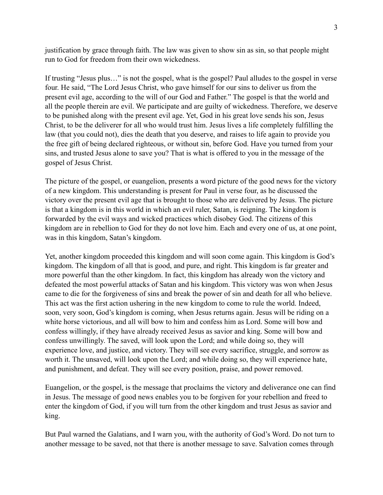justification by grace through faith. The law was given to show sin as sin, so that people might run to God for freedom from their own wickedness.

If trusting "Jesus plus…" is not the gospel, what is the gospel? Paul alludes to the gospel in verse four. He said, "The Lord Jesus Christ, who gave himself for our sins to deliver us from the present evil age, according to the will of our God and Father." The gospel is that the world and all the people therein are evil. We participate and are guilty of wickedness. Therefore, we deserve to be punished along with the present evil age. Yet, God in his great love sends his son, Jesus Christ, to be the deliverer for all who would trust him. Jesus lives a life completely fulfilling the law (that you could not), dies the death that you deserve, and raises to life again to provide you the free gift of being declared righteous, or without sin, before God. Have you turned from your sins, and trusted Jesus alone to save you? That is what is offered to you in the message of the gospel of Jesus Christ.

The picture of the gospel, or euangelion, presents a word picture of the good news for the victory of a new kingdom. This understanding is present for Paul in verse four, as he discussed the victory over the present evil age that is brought to those who are delivered by Jesus. The picture is that a kingdom is in this world in which an evil ruler, Satan, is reigning. The kingdom is forwarded by the evil ways and wicked practices which disobey God. The citizens of this kingdom are in rebellion to God for they do not love him. Each and every one of us, at one point, was in this kingdom, Satan's kingdom.

Yet, another kingdom proceeded this kingdom and will soon come again. This kingdom is God's kingdom. The kingdom of all that is good, and pure, and right. This kingdom is far greater and more powerful than the other kingdom. In fact, this kingdom has already won the victory and defeated the most powerful attacks of Satan and his kingdom. This victory was won when Jesus came to die for the forgiveness of sins and break the power of sin and death for all who believe. This act was the first action ushering in the new kingdom to come to rule the world. Indeed, soon, very soon, God's kingdom is coming, when Jesus returns again. Jesus will be riding on a white horse victorious, and all will bow to him and confess him as Lord. Some will bow and confess willingly, if they have already received Jesus as savior and king. Some will bow and confess unwillingly. The saved, will look upon the Lord; and while doing so, they will experience love, and justice, and victory. They will see every sacrifice, struggle, and sorrow as worth it. The unsaved, will look upon the Lord; and while doing so, they will experience hate, and punishment, and defeat. They will see every position, praise, and power removed.

Euangelion, or the gospel, is the message that proclaims the victory and deliverance one can find in Jesus. The message of good news enables you to be forgiven for your rebellion and freed to enter the kingdom of God, if you will turn from the other kingdom and trust Jesus as savior and king.

But Paul warned the Galatians, and I warn you, with the authority of God's Word. Do not turn to another message to be saved, not that there is another message to save. Salvation comes through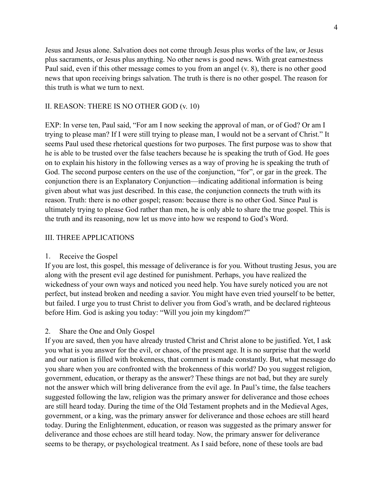Jesus and Jesus alone. Salvation does not come through Jesus plus works of the law, or Jesus plus sacraments, or Jesus plus anything. No other news is good news. With great earnestness Paul said, even if this other message comes to you from an angel (v. 8), there is no other good news that upon receiving brings salvation. The truth is there is no other gospel. The reason for this truth is what we turn to next.

### II. REASON: THERE IS NO OTHER GOD (v. 10)

EXP: In verse ten, Paul said, "For am I now seeking the approval of man, or of God? Or am I trying to please man? If I were still trying to please man, I would not be a servant of Christ." It seems Paul used these rhetorical questions for two purposes. The first purpose was to show that he is able to be trusted over the false teachers because he is speaking the truth of God. He goes on to explain his history in the following verses as a way of proving he is speaking the truth of God. The second purpose centers on the use of the conjunction, "for", or gar in the greek. The conjunction there is an Explanatory Conjunction—indicating additional information is being given about what was just described. In this case, the conjunction connects the truth with its reason. Truth: there is no other gospel; reason: because there is no other God. Since Paul is ultimately trying to please God rather than men, he is only able to share the true gospel. This is the truth and its reasoning, now let us move into how we respond to God's Word.

#### III. THREE APPLICATIONS

#### 1. Receive the Gospel

If you are lost, this gospel, this message of deliverance is for you. Without trusting Jesus, you are along with the present evil age destined for punishment. Perhaps, you have realized the wickedness of your own ways and noticed you need help. You have surely noticed you are not perfect, but instead broken and needing a savior. You might have even tried yourself to be better, but failed. I urge you to trust Christ to deliver you from God's wrath, and be declared righteous before Him. God is asking you today: "Will you join my kingdom?"

#### 2. Share the One and Only Gospel

If you are saved, then you have already trusted Christ and Christ alone to be justified. Yet, I ask you what is you answer for the evil, or chaos, of the present age. It is no surprise that the world and our nation is filled with brokenness, that comment is made constantly. But, what message do you share when you are confronted with the brokenness of this world? Do you suggest religion, government, education, or therapy as the answer? These things are not bad, but they are surely not the answer which will bring deliverance from the evil age. In Paul's time, the false teachers suggested following the law, religion was the primary answer for deliverance and those echoes are still heard today. During the time of the Old Testament prophets and in the Medieval Ages, government, or a king, was the primary answer for deliverance and those echoes are still heard today. During the Enlightenment, education, or reason was suggested as the primary answer for deliverance and those echoes are still heard today. Now, the primary answer for deliverance seems to be therapy, or psychological treatment. As I said before, none of these tools are bad